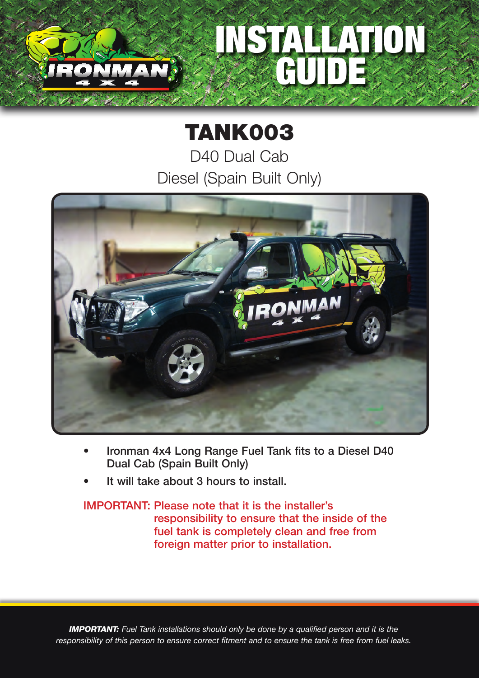## INSTALLATION GUIDE

## TANK003

D40 Dual Cab Diesel (Spain Built Only)



- Ironman 4x4 Long Range Fuel Tank fits to a Diesel D40 Dual Cab (Spain Built Only)
- It will take about 3 hours to install.

## IMPORTANT: Please note that it is the installer's responsibility to ensure that the inside of the fuel tank is completely clean and free from foreign matter prior to installation.

*IMPORTANT: Fuel Tank installations should only be done by a qualified person and it is the responsibility of this person to ensure correct fitment and to ensure the tank is free from fuel leaks.*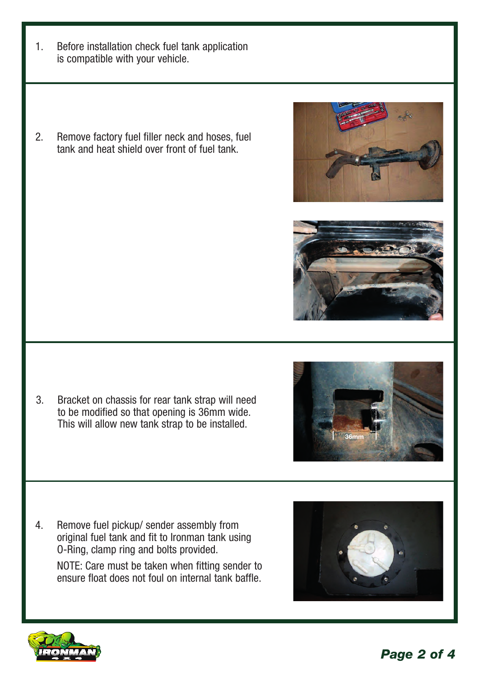- 1. Before installation check fuel tank application is compatible with your vehicle.
- 2. Remove factory fuel filler neck and hoses, fuel tank and heat shield over front of fuel tank.



4. Remove fuel pickup/ sender assembly from original fuel tank and fit to Ironman tank using O-Ring, clamp ring and bolts provided.

NOTE: Care must be taken when fitting sender to ensure float does not foul on internal tank baffle.







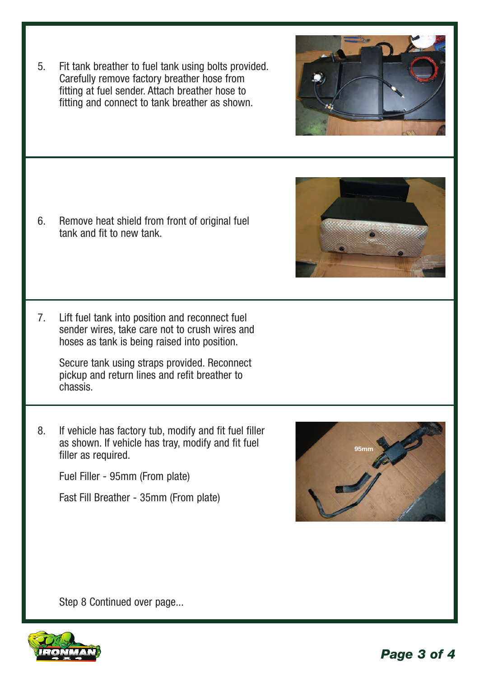Carefully remove factory breather hose from fitting at fuel sender. Attach breather hose to fitting and connect to tank breather as shown.

5. Fit tank breather to fuel tank using bolts provided.

6. Remove heat shield from front of original fuel tank and fit to new tank.

7. Lift fuel tank into position and reconnect fuel sender wires, take care not to crush wires and hoses as tank is being raised into position.

Secure tank using straps provided. Reconnect pickup and return lines and refit breather to chassis.

8. If vehicle has factory tub, modify and fit fuel filler as shown. If vehicle has tray, modify and fit fuel filler as required.

Fuel Filler - 95mm (From plate)

Fast Fill Breather - 35mm (From plate)